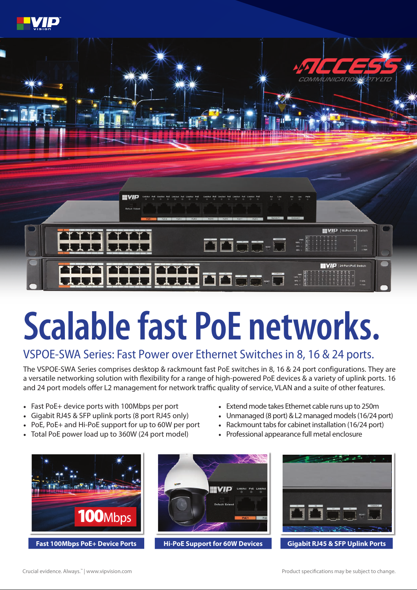



## **Scalable fast PoE networks.**

## VSPOE-SWA Series: Fast Power over Ethernet Switches in 8, 16 & 24 ports.

The VSPOE-SWA Series comprises desktop & rackmount fast PoE switches in 8, 16 & 24 port configurations. They are a versatile networking solution with flexibility for a range of high-powered PoE devices & a variety of uplink ports. 16 and 24 port models offer L2 management for network traffic quality of service, VLAN and a suite of other features.

- Fast PoE+ device ports with 100Mbps per port
- Gigabit RJ45 & SFP uplink ports (8 port RJ45 only)
- PoE, PoE+ and Hi-PoE support for up to 60W per port
- Total PoE power load up to 360W (24 port model)
- Extend mode takes Ethernet cable runs up to 250m
- Unmanaged (8 port) & L2 managed models (16/24 port)
- Rackmount tabs for cabinet installation (16/24 port)
- Professional appearance full metal enclosure







**Fast 100Mbps PoE+ Device Ports Hi-PoE Support for 60W Devices Gigabit RJ45 & SFP Uplink Ports**